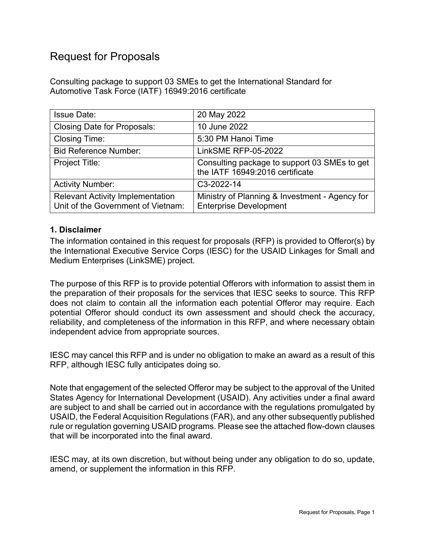# Request for Proposals

Consulting package to support 03 SMEs to get the International Standard for Automotive Task Force (IATF) 16949:2016 certificate

| <b>Issue Date:</b>                                                            | 20 May 2022                                                                     |
|-------------------------------------------------------------------------------|---------------------------------------------------------------------------------|
| <b>Closing Date for Proposals:</b>                                            | 10 June 2022                                                                    |
| <b>Closing Time:</b>                                                          | 5:30 PM Hanoi Time                                                              |
| <b>Bid Reference Number:</b>                                                  | <b>LinkSME RFP-05-2022</b>                                                      |
| Project Title:                                                                | Consulting package to support 03 SMEs to get<br>the IATF 16949:2016 certificate |
| <b>Activity Number:</b>                                                       | C3-2022-14                                                                      |
| <b>Relevant Activity Implementation</b><br>Unit of the Government of Vietnam: | Ministry of Planning & Investment - Agency for<br><b>Enterprise Development</b> |

#### **1. Disclaimer**

The information contained in this request for proposals (RFP) is provided to Offeror(s) by the International Executive Service Corps (IESC) for the USAID Linkages for Small and Medium Enterprises (LinkSME) project.

The purpose of this RFP is to provide potential Offerors with information to assist them in the preparation of their proposals for the services that IESC seeks to source. This RFP does not claim to contain all the information each potential Offeror may require. Each potential Offeror should conduct its own assessment and should check the accuracy, reliability, and completeness of the information in this RFP, and where necessary obtain independent advice from appropriate sources.

IESC may cancel this RFP and is under no obligation to make an award as a result of this RFP, although IESC fully anticipates doing so.

Note that engagement of the selected Offeror may be subject to the approval of the United States Agency for International Development (USAID). Any activities under a final award are subject to and shall be carried out in accordance with the regulations promulgated by USAID, the Federal Acquisition Regulations (FAR), and any other subsequently published rule or regulation governing USAID programs. Please see the attached flow-down clauses that will be incorporated into the final award.

IESC may, at its own discretion, but without being under any obligation to do so, update, amend, or supplement the information in this RFP.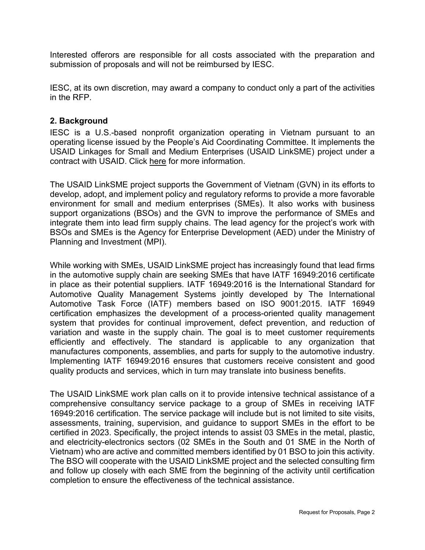Interested offerors are responsible for all costs associated with the preparation and submission of proposals and will not be reimbursed by IESC.

IESC, at its own discretion, may award a company to conduct only a part of the activities in the RFP.

#### **2. Background**

IESC is a U.S.-based nonprofit organization operating in Vietnam pursuant to an operating license issued by the People's Aid Coordinating Committee. It implements the USAID Linkages for Small and Medium Enterprises (USAID LinkSME) project under a contract with USAID. Click here for more information.

The USAID LinkSME project supports the Government of Vietnam (GVN) in its efforts to develop, adopt, and implement policy and regulatory reforms to provide a more favorable environment for small and medium enterprises (SMEs). It also works with business support organizations (BSOs) and the GVN to improve the performance of SMEs and integrate them into lead firm supply chains. The lead agency for the project's work with BSOs and SMEs is the Agency for Enterprise Development (AED) under the Ministry of Planning and Investment (MPI).

While working with SMEs, USAID LinkSME project has increasingly found that lead firms in the automotive supply chain are seeking SMEs that have IATF 16949:2016 certificate in place as their potential suppliers. IATF 16949:2016 is the International Standard for Automotive Quality Management Systems jointly developed by The International Automotive Task Force (IATF) members based on ISO 9001:2015. IATF 16949 certification emphasizes the development of a process-oriented quality management system that provides for continual improvement, defect prevention, and reduction of variation and waste in the supply chain. The goal is to meet customer requirements efficiently and effectively. The standard is applicable to any organization that manufactures components, assemblies, and parts for supply to the automotive industry. Implementing IATF 16949:2016 ensures that customers receive consistent and good quality products and services, which in turn may translate into business benefits.

The USAID LinkSME work plan calls on it to provide intensive technical assistance of a comprehensive consultancy service package to a group of SMEs in receiving IATF 16949:2016 certification. The service package will include but is not limited to site visits, assessments, training, supervision, and guidance to support SMEs in the effort to be certified in 2023. Specifically, the project intends to assist 03 SMEs in the metal, plastic, and electricity-electronics sectors (02 SMEs in the South and 01 SME in the North of Vietnam) who are active and committed members identified by 01 BSO to join this activity. The BSO will cooperate with the USAID LinkSME project and the selected consulting firm and follow up closely with each SME from the beginning of the activity until certification completion to ensure the effectiveness of the technical assistance.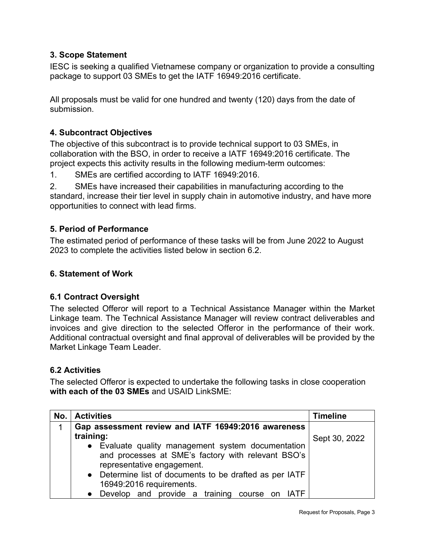# **3. Scope Statement**

IESC is seeking a qualified Vietnamese company or organization to provide a consulting package to support 03 SMEs to get the IATF 16949:2016 certificate.

All proposals must be valid for one hundred and twenty (120) days from the date of submission.

# **4. Subcontract Objectives**

The objective of this subcontract is to provide technical support to 03 SMEs, in collaboration with the BSO, in order to receive a IATF 16949:2016 certificate. The project expects this activity results in the following medium-term outcomes:

1. SMEs are certified according to IATF 16949:2016.

2. SMEs have increased their capabilities in manufacturing according to the standard, increase their tier level in supply chain in automotive industry, and have more opportunities to connect with lead firms.

# **5. Period of Performance**

The estimated period of performance of these tasks will be from June 2022 to August 2023 to complete the activities listed below in section 6.2.

# **6. Statement of Work**

# **6.1 Contract Oversight**

The selected Offeror will report to a Technical Assistance Manager within the Market Linkage team. The Technical Assistance Manager will review contract deliverables and invoices and give direction to the selected Offeror in the performance of their work. Additional contractual oversight and final approval of deliverables will be provided by the Market Linkage Team Leader.

# **6.2 Activities**

The selected Offeror is expected to undertake the following tasks in close cooperation **with each of the 03 SMEs** and USAID LinkSME:

| No. | <b>Activities</b>                                       | <b>Timeline</b> |
|-----|---------------------------------------------------------|-----------------|
|     | Gap assessment review and IATF 16949:2016 awareness     |                 |
|     | training:                                               | Sept 30, 2022   |
|     | • Evaluate quality management system documentation      |                 |
|     | and processes at SME's factory with relevant BSO's      |                 |
|     | representative engagement.                              |                 |
|     | • Determine list of documents to be drafted as per IATF |                 |
|     | 16949:2016 requirements.                                |                 |
|     | • Develop and provide a training course on IATF         |                 |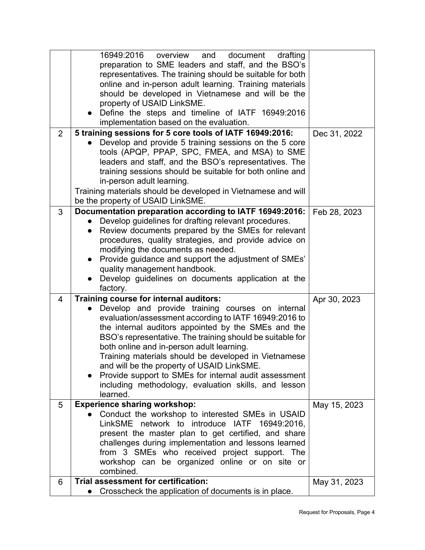|                | 16949:2016<br>overview<br>and<br>document<br>drafting<br>preparation to SME leaders and staff, and the BSO's<br>representatives. The training should be suitable for both<br>online and in-person adult learning. Training materials<br>should be developed in Vietnamese and will be the<br>property of USAID LinkSME.<br>Define the steps and timeline of IATF 16949:2016<br>implementation based on the evaluation.                                                                                                                                  |              |
|----------------|---------------------------------------------------------------------------------------------------------------------------------------------------------------------------------------------------------------------------------------------------------------------------------------------------------------------------------------------------------------------------------------------------------------------------------------------------------------------------------------------------------------------------------------------------------|--------------|
| $\overline{2}$ | 5 training sessions for 5 core tools of IATF 16949:2016:<br>Develop and provide 5 training sessions on the 5 core<br>tools (APQP, PPAP, SPC, FMEA, and MSA) to SME<br>leaders and staff, and the BSO's representatives. The<br>training sessions should be suitable for both online and<br>in-person adult learning.<br>Training materials should be developed in Vietnamese and will<br>be the property of USAID LinkSME.                                                                                                                              | Dec 31, 2022 |
| 3              | Documentation preparation according to IATF 16949:2016:<br>Develop guidelines for drafting relevant procedures.<br>Review documents prepared by the SMEs for relevant<br>$\bullet$<br>procedures, quality strategies, and provide advice on<br>modifying the documents as needed.<br>Provide guidance and support the adjustment of SMEs'<br>$\bullet$<br>quality management handbook.<br>Develop guidelines on documents application at the<br>factory.                                                                                                | Feb 28, 2023 |
| $\overline{4}$ | Training course for internal auditors:<br>Develop and provide training courses on internal<br>evaluation/assessment according to IATF 16949:2016 to<br>the internal auditors appointed by the SMEs and the<br>BSO's representative. The training should be suitable for<br>both online and in-person adult learning.<br>Training materials should be developed in Vietnamese<br>and will be the property of USAID LinkSME.<br>Provide support to SMEs for internal audit assessment<br>including methodology, evaluation skills, and lesson<br>learned. | Apr 30, 2023 |
| 5              | <b>Experience sharing workshop:</b>                                                                                                                                                                                                                                                                                                                                                                                                                                                                                                                     | May 15, 2023 |
|                | Conduct the workshop to interested SMEs in USAID<br>LinkSME network to introduce IATF 16949:2016,<br>present the master plan to get certified, and share<br>challenges during implementation and lessons learned<br>from 3 SMEs who received project support. The<br>workshop can be organized online or on site or<br>combined.                                                                                                                                                                                                                        |              |
| 6              | Trial assessment for certification:<br>Crosscheck the application of documents is in place.                                                                                                                                                                                                                                                                                                                                                                                                                                                             | May 31, 2023 |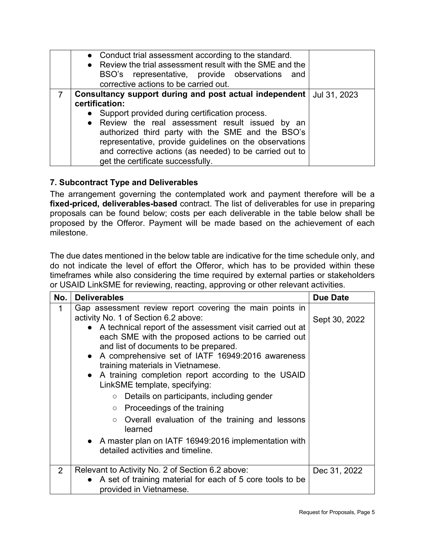| • Conduct trial assessment according to the standard.<br>• Review the trial assessment result with the SME and the<br>BSO's representative, provide observations and<br>corrective actions to be carried out.                                                                                                                                                                                     |              |
|---------------------------------------------------------------------------------------------------------------------------------------------------------------------------------------------------------------------------------------------------------------------------------------------------------------------------------------------------------------------------------------------------|--------------|
| Consultancy support during and post actual independent  <br>certification:<br>• Support provided during certification process.<br>• Review the real assessment result issued by an<br>authorized third party with the SME and the BSO's<br>representative, provide guidelines on the observations<br>and corrective actions (as needed) to be carried out to<br>get the certificate successfully. | Jul 31, 2023 |

# **7. Subcontract Type and Deliverables**

The arrangement governing the contemplated work and payment therefore will be a **fixed-priced, deliverables-based** contract. The list of deliverables for use in preparing proposals can be found below; costs per each deliverable in the table below shall be proposed by the Offeror. Payment will be made based on the achievement of each milestone.

The due dates mentioned in the below table are indicative for the time schedule only, and do not indicate the level of effort the Offeror, which has to be provided within these timeframes while also considering the time required by external parties or stakeholders or USAID LinkSME for reviewing, reacting, approving or other relevant activities.

| No.            | <b>Deliverables</b>                                                                                                                                                                                                                                                                                                                                                                                                                                                                                                                                                                                                                                                                                                            | <b>Due Date</b> |
|----------------|--------------------------------------------------------------------------------------------------------------------------------------------------------------------------------------------------------------------------------------------------------------------------------------------------------------------------------------------------------------------------------------------------------------------------------------------------------------------------------------------------------------------------------------------------------------------------------------------------------------------------------------------------------------------------------------------------------------------------------|-----------------|
| 1              | Gap assessment review report covering the main points in<br>activity No. 1 of Section 6.2 above:<br>• A technical report of the assessment visit carried out at<br>each SME with the proposed actions to be carried out<br>and list of documents to be prepared.<br>• A comprehensive set of IATF 16949:2016 awareness<br>training materials in Vietnamese.<br>• A training completion report according to the USAID<br>LinkSME template, specifying:<br>Details on participants, including gender<br>$\circ$<br>Proceedings of the training<br>$\circ$<br>Overall evaluation of the training and lessons<br>$\circ$<br>learned<br>• A master plan on IATF 16949:2016 implementation with<br>detailed activities and timeline. | Sept 30, 2022   |
| $\overline{2}$ | Relevant to Activity No. 2 of Section 6.2 above:<br>• A set of training material for each of 5 core tools to be<br>provided in Vietnamese.                                                                                                                                                                                                                                                                                                                                                                                                                                                                                                                                                                                     | Dec 31, 2022    |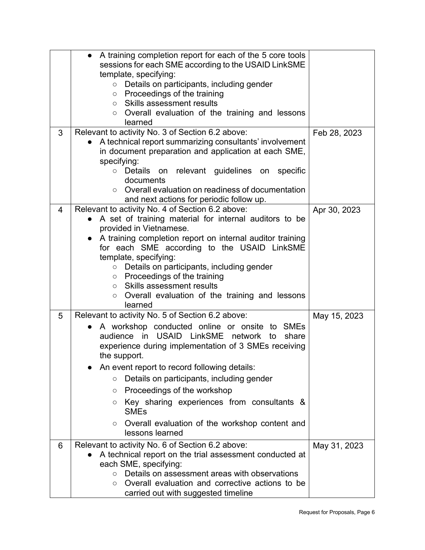|   | A training completion report for each of the 5 core tools                                                |              |
|---|----------------------------------------------------------------------------------------------------------|--------------|
|   | sessions for each SME according to the USAID LinkSME                                                     |              |
|   | template, specifying:                                                                                    |              |
|   | Details on participants, including gender<br>$\circ$                                                     |              |
|   | Proceedings of the training<br>$\bigcirc$                                                                |              |
|   | Skills assessment results<br>$\circ$                                                                     |              |
|   | Overall evaluation of the training and lessons<br>O                                                      |              |
|   | learned                                                                                                  |              |
| 3 | Relevant to activity No. 3 of Section 6.2 above:                                                         | Feb 28, 2023 |
|   | A technical report summarizing consultants' involvement                                                  |              |
|   | in document preparation and application at each SME,                                                     |              |
|   | specifying:                                                                                              |              |
|   | o Details on relevant guidelines on<br>specific                                                          |              |
|   | documents                                                                                                |              |
|   | Overall evaluation on readiness of documentation<br>$\circ$                                              |              |
|   | and next actions for periodic follow up.                                                                 |              |
| 4 | Relevant to activity No. 4 of Section 6.2 above:                                                         | Apr 30, 2023 |
|   | A set of training material for internal auditors to be                                                   |              |
|   | provided in Vietnamese.                                                                                  |              |
|   | A training completion report on internal auditor training                                                |              |
|   | for each SME according to the USAID LinkSME                                                              |              |
|   | template, specifying:                                                                                    |              |
|   | Details on participants, including gender<br>$\circ$                                                     |              |
|   | Proceedings of the training<br>О<br>Skills assessment results                                            |              |
|   | $\circ$<br>Overall evaluation of the training and lessons<br>O                                           |              |
|   | learned                                                                                                  |              |
| 5 | Relevant to activity No. 5 of Section 6.2 above:                                                         | May 15, 2023 |
|   |                                                                                                          |              |
|   | A workshop conducted online or onsite to SMEs<br>$\bullet$<br>audience in USAID LinkSME network<br>share |              |
|   | to<br>experience during implementation of 3 SMEs receiving                                               |              |
|   | the support.                                                                                             |              |
|   | An event report to record following details:                                                             |              |
|   |                                                                                                          |              |
|   | Details on participants, including gender<br>$\bigcirc$                                                  |              |
|   | Proceedings of the workshop<br>O                                                                         |              |
|   | Key sharing experiences from consultants &<br>O                                                          |              |
|   | <b>SMEs</b>                                                                                              |              |
|   | Overall evaluation of the workshop content and<br>$\circ$                                                |              |
|   | lessons learned                                                                                          |              |
| 6 | Relevant to activity No. 6 of Section 6.2 above:                                                         | May 31, 2023 |
|   | A technical report on the trial assessment conducted at                                                  |              |
|   | each SME, specifying:                                                                                    |              |
|   | Details on assessment areas with observations<br>$\circ$                                                 |              |
|   | Overall evaluation and corrective actions to be<br>O                                                     |              |
|   | carried out with suggested timeline                                                                      |              |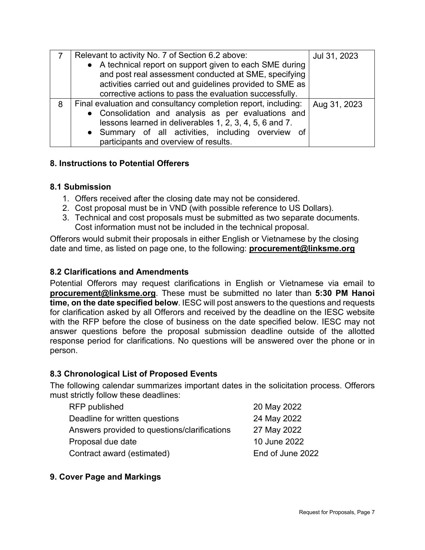|   | Relevant to activity No. 7 of Section 6.2 above:               | Jul 31, 2023 |
|---|----------------------------------------------------------------|--------------|
|   | • A technical report on support given to each SME during       |              |
|   | and post real assessment conducted at SME, specifying          |              |
|   | activities carried out and guidelines provided to SME as       |              |
|   | corrective actions to pass the evaluation successfully.        |              |
| 8 | Final evaluation and consultancy completion report, including: | Aug 31, 2023 |
|   | • Consolidation and analysis as per evaluations and            |              |
|   | lessons learned in deliverables 1, 2, 3, 4, 5, 6 and 7.        |              |
|   | • Summary of all activities, including overview of             |              |
|   | participants and overview of results.                          |              |

# **8. Instructions to Potential Offerers**

#### **8.1 Submission**

- 1. Offers received after the closing date may not be considered.
- 2. Cost proposal must be in VND (with possible reference to US Dollars).
- 3. Technical and cost proposals must be submitted as two separate documents. Cost information must not be included in the technical proposal.

Offerors would submit their proposals in either English or Vietnamese by the closing date and time, as listed on page one, to the following: **procurement@linksme.org**

### **8.2 Clarifications and Amendments**

Potential Offerors may request clarifications in English or Vietnamese via email to **procurement@linksme.org**. These must be submitted no later than **5:30 PM Hanoi time, on the date specified below**. IESC will post answers to the questions and requests for clarification asked by all Offerors and received by the deadline on the IESC website with the RFP before the close of business on the date specified below. IESC may not answer questions before the proposal submission deadline outside of the allotted response period for clarifications. No questions will be answered over the phone or in person.

#### **8.3 Chronological List of Proposed Events**

The following calendar summarizes important dates in the solicitation process. Offerors must strictly follow these deadlines:

| RFP published                                | 20 May 2022      |
|----------------------------------------------|------------------|
| Deadline for written questions               | 24 May 2022      |
| Answers provided to questions/clarifications | 27 May 2022      |
| Proposal due date                            | 10 June 2022     |
| Contract award (estimated)                   | End of June 2022 |

# **9. Cover Page and Markings**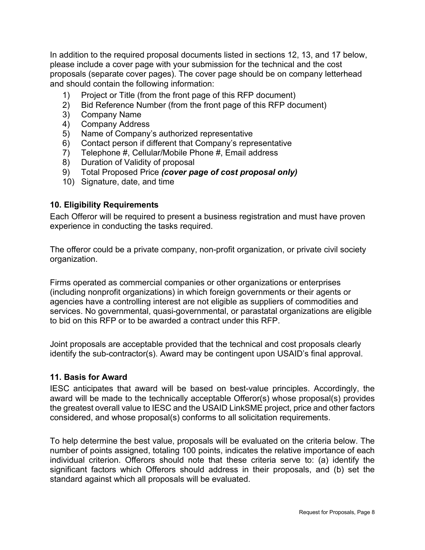In addition to the required proposal documents listed in sections 12, 13, and 17 below, please include a cover page with your submission for the technical and the cost proposals (separate cover pages). The cover page should be on company letterhead and should contain the following information:

- 1) Project or Title (from the front page of this RFP document)
- 2) Bid Reference Number (from the front page of this RFP document)
- 3) Company Name
- 4) Company Address
- 5) Name of Company's authorized representative
- 6) Contact person if different that Company's representative
- 7) Telephone #, Cellular/Mobile Phone #, Email address
- 8) Duration of Validity of proposal
- 9) Total Proposed Price *(cover page of cost proposal only)*
- 10) Signature, date, and time

#### **10. Eligibility Requirements**

Each Offeror will be required to present a business registration and must have proven experience in conducting the tasks required.

The offeror could be a private company, non-profit organization, or private civil society organization.

Firms operated as commercial companies or other organizations or enterprises (including nonprofit organizations) in which foreign governments or their agents or agencies have a controlling interest are not eligible as suppliers of commodities and services. No governmental, quasi-governmental, or parastatal organizations are eligible to bid on this RFP or to be awarded a contract under this RFP.

Joint proposals are acceptable provided that the technical and cost proposals clearly identify the sub-contractor(s). Award may be contingent upon USAID's final approval.

#### **11. Basis for Award**

IESC anticipates that award will be based on best-value principles. Accordingly, the award will be made to the technically acceptable Offeror(s) whose proposal(s) provides the greatest overall value to IESC and the USAID LinkSME project, price and other factors considered, and whose proposal(s) conforms to all solicitation requirements.

To help determine the best value, proposals will be evaluated on the criteria below. The number of points assigned, totaling 100 points, indicates the relative importance of each individual criterion. Offerors should note that these criteria serve to: (a) identify the significant factors which Offerors should address in their proposals, and (b) set the standard against which all proposals will be evaluated.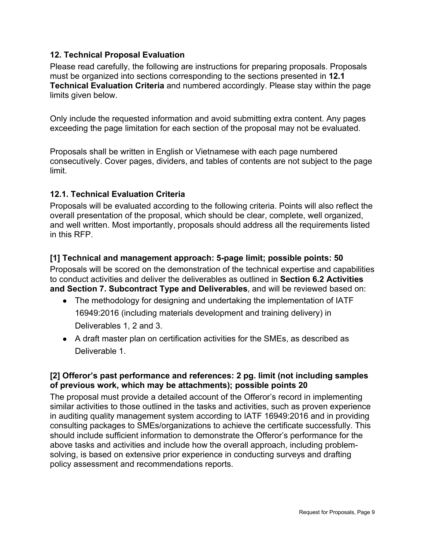# **12. Technical Proposal Evaluation**

Please read carefully, the following are instructions for preparing proposals. Proposals must be organized into sections corresponding to the sections presented in **12.1 Technical Evaluation Criteria** and numbered accordingly. Please stay within the page limits given below.

Only include the requested information and avoid submitting extra content. Any pages exceeding the page limitation for each section of the proposal may not be evaluated.

Proposals shall be written in English or Vietnamese with each page numbered consecutively. Cover pages, dividers, and tables of contents are not subject to the page limit.

#### **12.1. Technical Evaluation Criteria**

Proposals will be evaluated according to the following criteria. Points will also reflect the overall presentation of the proposal, which should be clear, complete, well organized, and well written. Most importantly, proposals should address all the requirements listed in this RFP.

#### **[1] Technical and management approach: 5-page limit; possible points: 50**

Proposals will be scored on the demonstration of the technical expertise and capabilities to conduct activities and deliver the deliverables as outlined in **Section 6.2 Activities and Section 7. Subcontract Type and Deliverables**, and will be reviewed based on:

- The methodology for designing and undertaking the implementation of IATF 16949:2016 (including materials development and training delivery) in Deliverables 1, 2 and 3.
- A draft master plan on certification activities for the SMEs, as described as Deliverable 1.

#### **[2] Offeror's past performance and references: 2 pg. limit (not including samples of previous work, which may be attachments); possible points 20**

The proposal must provide a detailed account of the Offeror's record in implementing similar activities to those outlined in the tasks and activities, such as proven experience in auditing quality management system according to IATF 16949:2016 and in providing consulting packages to SMEs/organizations to achieve the certificate successfully. This should include sufficient information to demonstrate the Offeror's performance for the above tasks and activities and include how the overall approach, including problemsolving, is based on extensive prior experience in conducting surveys and drafting policy assessment and recommendations reports.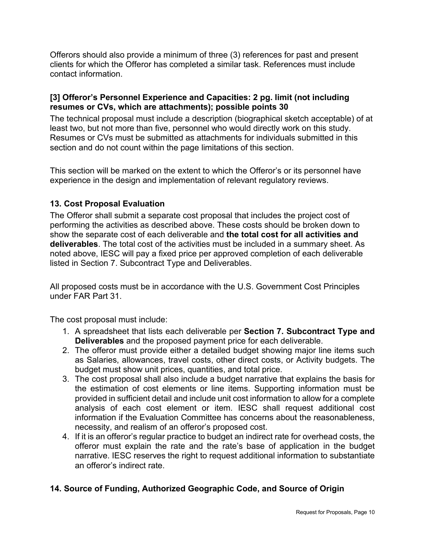Offerors should also provide a minimum of three (3) references for past and present clients for which the Offeror has completed a similar task. References must include contact information.

#### **[3] Offeror's Personnel Experience and Capacities: 2 pg. limit (not including resumes or CVs, which are attachments); possible points 30**

The technical proposal must include a description (biographical sketch acceptable) of at least two, but not more than five, personnel who would directly work on this study. Resumes or CVs must be submitted as attachments for individuals submitted in this section and do not count within the page limitations of this section.

This section will be marked on the extent to which the Offeror's or its personnel have experience in the design and implementation of relevant regulatory reviews.

#### **13. Cost Proposal Evaluation**

The Offeror shall submit a separate cost proposal that includes the project cost of performing the activities as described above. These costs should be broken down to show the separate cost of each deliverable and **the total cost for all activities and deliverables**. The total cost of the activities must be included in a summary sheet. As noted above, IESC will pay a fixed price per approved completion of each deliverable listed in Section 7. Subcontract Type and Deliverables.

All proposed costs must be in accordance with the U.S. Government Cost Principles under FAR Part 31.

The cost proposal must include:

- 1. A spreadsheet that lists each deliverable per **Section 7. Subcontract Type and Deliverables** and the proposed payment price for each deliverable.
- 2. The offeror must provide either a detailed budget showing major line items such as Salaries, allowances, travel costs, other direct costs, or Activity budgets. The budget must show unit prices, quantities, and total price.
- 3. The cost proposal shall also include a budget narrative that explains the basis for the estimation of cost elements or line items. Supporting information must be provided in sufficient detail and include unit cost information to allow for a complete analysis of each cost element or item. IESC shall request additional cost information if the Evaluation Committee has concerns about the reasonableness, necessity, and realism of an offeror's proposed cost.
- 4. If it is an offeror's regular practice to budget an indirect rate for overhead costs, the offeror must explain the rate and the rate's base of application in the budget narrative. IESC reserves the right to request additional information to substantiate an offeror's indirect rate.

# **14. Source of Funding, Authorized Geographic Code, and Source of Origin**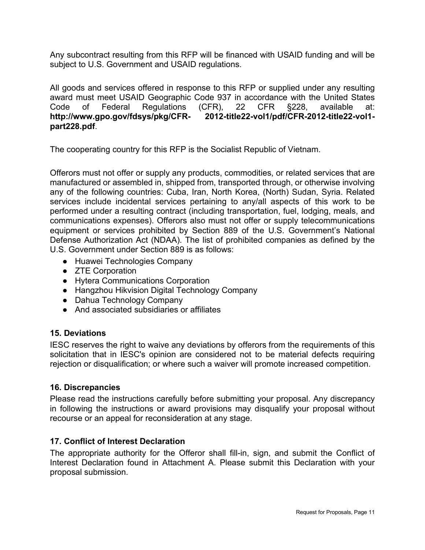Any subcontract resulting from this RFP will be financed with USAID funding and will be subject to U.S. Government and USAID regulations.

All goods and services offered in response to this RFP or supplied under any resulting award must meet USAID Geographic Code 937 in accordance with the United States Code of Federal Regulations (CFR), 22 CFR §228, available at: **http://www.gpo.gov/fdsys/pkg/CFR- 2012-title22-vol1/pdf/CFR-2012-title22-vol1 part228.pdf**.

The cooperating country for this RFP is the Socialist Republic of Vietnam.

Offerors must not offer or supply any products, commodities, or related services that are manufactured or assembled in, shipped from, transported through, or otherwise involving any of the following countries: Cuba, Iran, North Korea, (North) Sudan, Syria. Related services include incidental services pertaining to any/all aspects of this work to be performed under a resulting contract (including transportation, fuel, lodging, meals, and communications expenses). Offerors also must not offer or supply telecommunications equipment or services prohibited by Section 889 of the U.S. Government's National Defense Authorization Act (NDAA). The list of prohibited companies as defined by the U.S. Government under Section 889 is as follows:

- Huawei Technologies Company
- ZTE Corporation
- Hytera Communications Corporation
- Hangzhou Hikvision Digital Technology Company
- Dahua Technology Company
- And associated subsidiaries or affiliates

#### **15. Deviations**

IESC reserves the right to waive any deviations by offerors from the requirements of this solicitation that in IESC's opinion are considered not to be material defects requiring rejection or disqualification; or where such a waiver will promote increased competition.

#### **16. Discrepancies**

Please read the instructions carefully before submitting your proposal. Any discrepancy in following the instructions or award provisions may disqualify your proposal without recourse or an appeal for reconsideration at any stage.

#### **17. Conflict of Interest Declaration**

The appropriate authority for the Offeror shall fill-in, sign, and submit the Conflict of Interest Declaration found in Attachment A. Please submit this Declaration with your proposal submission.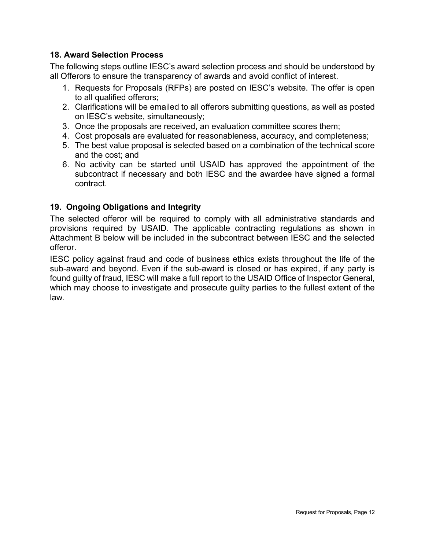#### **18. Award Selection Process**

The following steps outline IESC's award selection process and should be understood by all Offerors to ensure the transparency of awards and avoid conflict of interest.

- 1. Requests for Proposals (RFPs) are posted on IESC's website. The offer is open to all qualified offerors;
- 2. Clarifications will be emailed to all offerors submitting questions, as well as posted on IESC's website, simultaneously;
- 3. Once the proposals are received, an evaluation committee scores them;
- 4. Cost proposals are evaluated for reasonableness, accuracy, and completeness;
- 5. The best value proposal is selected based on a combination of the technical score and the cost; and
- 6. No activity can be started until USAID has approved the appointment of the subcontract if necessary and both IESC and the awardee have signed a formal contract.

#### **19. Ongoing Obligations and Integrity**

The selected offeror will be required to comply with all administrative standards and provisions required by USAID. The applicable contracting regulations as shown in Attachment B below will be included in the subcontract between IESC and the selected offeror.

IESC policy against fraud and code of business ethics exists throughout the life of the sub-award and beyond. Even if the sub-award is closed or has expired, if any party is found guilty of fraud, IESC will make a full report to the USAID Office of Inspector General, which may choose to investigate and prosecute guilty parties to the fullest extent of the law.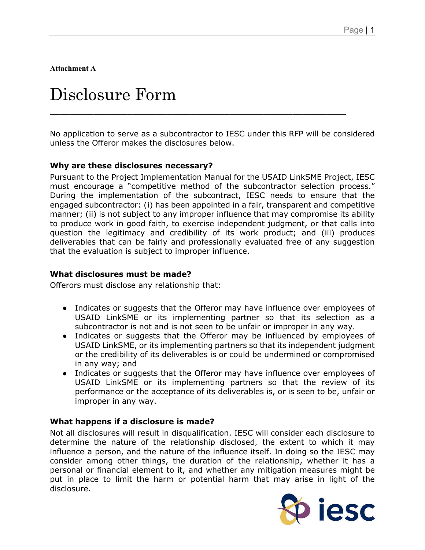**Attachment A**

# Disclosure Form

No application to serve as a subcontractor to IESC under this RFP will be considered unless the Offeror makes the disclosures below.

\_\_\_\_\_\_\_\_\_\_\_\_\_\_\_\_\_\_\_\_\_\_\_\_\_\_\_\_\_\_\_\_\_\_\_\_\_\_\_\_\_\_\_\_\_\_\_\_\_\_\_\_\_\_\_\_\_\_\_\_\_

#### **Why are these disclosures necessary?**

Pursuant to the Project Implementation Manual for the USAID LinkSME Project, IESC must encourage a "competitive method of the subcontractor selection process." During the implementation of the subcontract, IESC needs to ensure that the engaged subcontractor: (i) has been appointed in a fair, transparent and competitive manner; (ii) is not subject to any improper influence that may compromise its ability to produce work in good faith, to exercise independent judgment, or that calls into question the legitimacy and credibility of its work product; and (iii) produces deliverables that can be fairly and professionally evaluated free of any suggestion that the evaluation is subject to improper influence.

#### **What disclosures must be made?**

Offerors must disclose any relationship that:

- Indicates or suggests that the Offeror may have influence over employees of USAID LinkSME or its implementing partner so that its selection as a subcontractor is not and is not seen to be unfair or improper in any way.
- Indicates or suggests that the Offeror may be influenced by employees of USAID LinkSME, or its implementing partners so that its independent judgment or the credibility of its deliverables is or could be undermined or compromised in any way; and
- Indicates or suggests that the Offeror may have influence over employees of USAID LinkSME or its implementing partners so that the review of its performance or the acceptance of its deliverables is, or is seen to be, unfair or improper in any way.

#### **What happens if a disclosure is made?**

Not all disclosures will result in disqualification. IESC will consider each disclosure to determine the nature of the relationship disclosed, the extent to which it may influence a person, and the nature of the influence itself. In doing so the IESC may consider among other things, the duration of the relationship, whether it has a personal or financial element to it, and whether any mitigation measures might be put in place to limit the harm or potential harm that may arise in light of the disclosure.

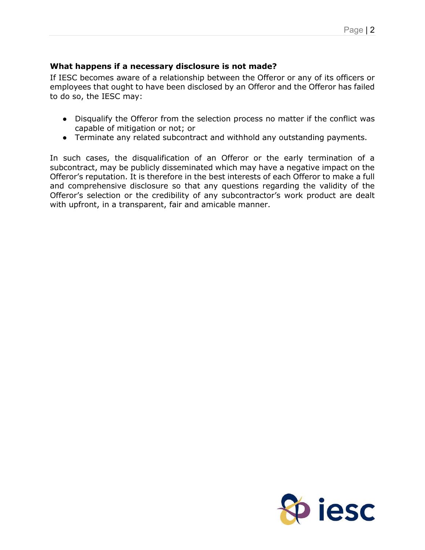# **What happens if a necessary disclosure is not made?**

If IESC becomes aware of a relationship between the Offeror or any of its officers or employees that ought to have been disclosed by an Offeror and the Offeror has failed to do so, the IESC may:

- Disqualify the Offeror from the selection process no matter if the conflict was capable of mitigation or not; or
- Terminate any related subcontract and withhold any outstanding payments.

In such cases, the disqualification of an Offeror or the early termination of a subcontract, may be publicly disseminated which may have a negative impact on the Offeror's reputation. It is therefore in the best interests of each Offeror to make a full and comprehensive disclosure so that any questions regarding the validity of the Offeror's selection or the credibility of any subcontractor's work product are dealt with upfront, in a transparent, fair and amicable manner.

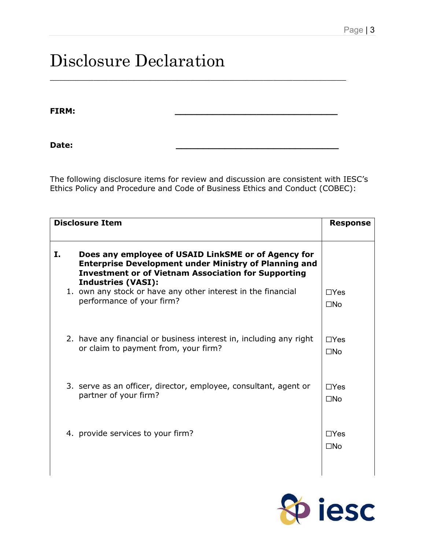# Disclosure Declaration

**FIRM: \_\_\_\_\_\_\_\_\_\_\_\_\_\_\_\_\_\_\_\_\_\_\_\_\_\_\_\_\_\_**

**Date: \_\_\_\_\_\_\_\_\_\_\_\_\_\_\_\_\_\_\_\_\_\_\_\_\_\_\_\_\_\_**

The following disclosure items for review and discussion are consistent with IESC's Ethics Policy and Procedure and Code of Business Ethics and Conduct (COBEC):

\_\_\_\_\_\_\_\_\_\_\_\_\_\_\_\_\_\_\_\_\_\_\_\_\_\_\_\_\_\_\_\_\_\_\_\_\_\_\_\_\_\_\_\_\_\_\_\_\_\_\_\_\_\_\_\_\_\_\_\_\_

|    | <b>Disclosure Item</b>                                                                                                                                                                                         | <b>Response</b>            |  |
|----|----------------------------------------------------------------------------------------------------------------------------------------------------------------------------------------------------------------|----------------------------|--|
| Ι. | Does any employee of USAID LinkSME or of Agency for<br><b>Enterprise Development under Ministry of Planning and</b><br><b>Investment or of Vietnam Association for Supporting</b><br><b>Industries (VASI):</b> |                            |  |
|    | 1. own any stock or have any other interest in the financial<br>performance of your firm?                                                                                                                      | $\Box$ Yes<br>$\square$ No |  |
|    | 2. have any financial or business interest in, including any right<br>or claim to payment from, your firm?                                                                                                     | $\Box$ Yes<br>$\square$ No |  |
|    | 3. serve as an officer, director, employee, consultant, agent or                                                                                                                                               | $\Box$ Yes                 |  |
|    | partner of your firm?                                                                                                                                                                                          | $\square$ No               |  |
|    | 4. provide services to your firm?                                                                                                                                                                              | $\Box$ Yes                 |  |
|    |                                                                                                                                                                                                                | $\square$ No               |  |
|    |                                                                                                                                                                                                                |                            |  |

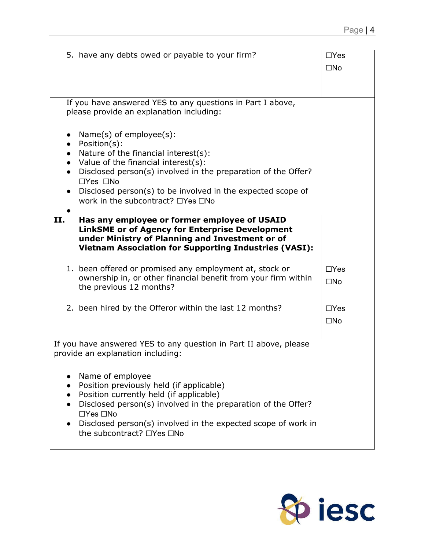|           | 5. have any debts owed or payable to your firm?                                                                                                                                                                                                                                                                           | $\Box$ Yes<br>$\square$ No |
|-----------|---------------------------------------------------------------------------------------------------------------------------------------------------------------------------------------------------------------------------------------------------------------------------------------------------------------------------|----------------------------|
|           | If you have answered YES to any questions in Part I above,<br>please provide an explanation including:                                                                                                                                                                                                                    |                            |
| $\bullet$ | $Name(s)$ of employee $(s)$ :<br>Position(s):<br>Nature of the financial interest(s):<br>Value of the financial interest(s):<br>Disclosed person(s) involved in the preparation of the Offer?<br>$\Box$ Yes $\Box$ No<br>Disclosed person(s) to be involved in the expected scope of<br>work in the subcontract? □Yes □No |                            |
| II.       | Has any employee or former employee of USAID<br><b>LinkSME or of Agency for Enterprise Development</b><br>under Ministry of Planning and Investment or of<br><b>Vietnam Association for Supporting Industries (VASI):</b>                                                                                                 |                            |
|           | 1. been offered or promised any employment at, stock or<br>ownership in, or other financial benefit from your firm within<br>the previous 12 months?                                                                                                                                                                      | $\Box$ Yes<br>$\square$ No |
|           | 2. been hired by the Offeror within the last 12 months?                                                                                                                                                                                                                                                                   | $\Box$ Yes<br>$\square$ No |
|           | If you have answered YES to any question in Part II above, please<br>provide an explanation including:                                                                                                                                                                                                                    |                            |
|           | Name of employee<br>Position previously held (if applicable)<br>Position currently held (if applicable)<br>Disclosed person(s) involved in the preparation of the Offer?<br>$\Box$ Yes $\Box$ No<br>Disclosed person(s) involved in the expected scope of work in<br>the subcontract? □Yes □No                            |                            |

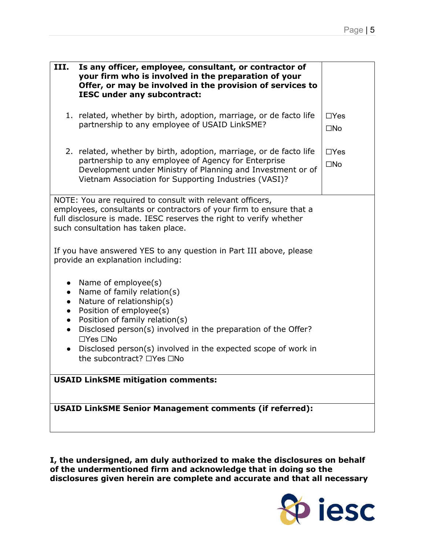| III.<br>Is any officer, employee, consultant, or contractor of<br>your firm who is involved in the preparation of your<br>Offer, or may be involved in the provision of services to<br><b>IESC under any subcontract:</b>                                                                |                            |  |
|------------------------------------------------------------------------------------------------------------------------------------------------------------------------------------------------------------------------------------------------------------------------------------------|----------------------------|--|
| 1. related, whether by birth, adoption, marriage, or de facto life<br>partnership to any employee of USAID LinkSME?                                                                                                                                                                      | $\Box$ Yes<br>$\square$ No |  |
| 2. related, whether by birth, adoption, marriage, or de facto life<br>partnership to any employee of Agency for Enterprise<br>Development under Ministry of Planning and Investment or of<br>Vietnam Association for Supporting Industries (VASI)?                                       | $\Box$ Yes<br>$\square$ No |  |
| NOTE: You are required to consult with relevant officers,<br>employees, consultants or contractors of your firm to ensure that a<br>full disclosure is made. IESC reserves the right to verify whether<br>such consultation has taken place.                                             |                            |  |
| If you have answered YES to any question in Part III above, please<br>provide an explanation including:                                                                                                                                                                                  |                            |  |
| Name of employee(s)<br>Name of family relation(s)<br>Nature of relationship(s)<br>$\bullet$<br>Position of employee(s)<br>$\bullet$<br>Position of family relation(s)<br>$\bullet$<br>Disclosed person(s) involved in the preparation of the Offer?<br>$\bullet$<br>$\Box$ Yes $\Box$ No |                            |  |
| Disclosed person(s) involved in the expected scope of work in<br>$\bullet$<br>the subcontract? □Yes □No                                                                                                                                                                                  |                            |  |
| <b>USAID LinkSME mitigation comments:</b>                                                                                                                                                                                                                                                |                            |  |
| <b>USAID LinkSME Senior Management comments (if referred):</b>                                                                                                                                                                                                                           |                            |  |

**I, the undersigned, am duly authorized to make the disclosures on behalf of the undermentioned firm and acknowledge that in doing so the disclosures given herein are complete and accurate and that all necessary** 

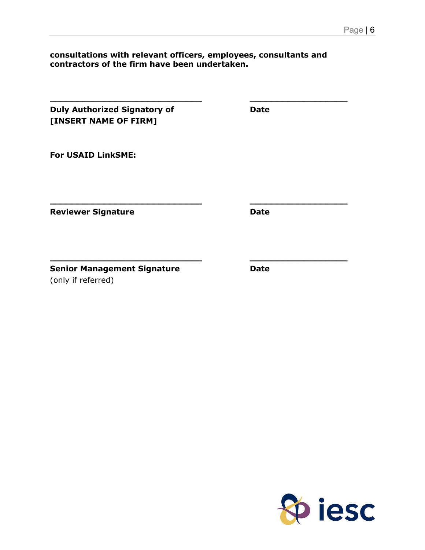#### **consultations with relevant officers, employees, consultants and contractors of the firm have been undertaken.**

**\_\_\_\_\_\_\_\_\_\_\_\_\_\_\_\_\_\_\_\_\_\_\_\_\_\_\_\_ \_\_\_\_\_\_\_\_\_\_\_\_\_\_\_\_\_\_**

**\_\_\_\_\_\_\_\_\_\_\_\_\_\_\_\_\_\_\_\_\_\_\_\_\_\_\_\_ \_\_\_\_\_\_\_\_\_\_\_\_\_\_\_\_\_\_**

**\_\_\_\_\_\_\_\_\_\_\_\_\_\_\_\_\_\_\_\_\_\_\_\_\_\_\_\_ \_\_\_\_\_\_\_\_\_\_\_\_\_\_\_\_\_\_**

| <b>Duly Authorized Signatory of</b> | Date |
|-------------------------------------|------|
| [INSERT NAME OF FIRM]               |      |

**For USAID LinkSME:**

**Reviewer Signature Date Date** 

**Senior Management Signature <b>Date** Date (only if referred)

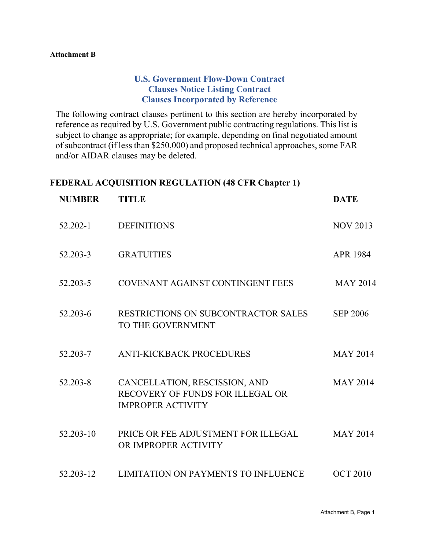#### **Attachment B**

# **U.S. Government Flow-Down Contract Clauses Notice Listing Contract Clauses Incorporated by Reference**

The following contract clauses pertinent to this section are hereby incorporated by reference as required by U.S. Government public contracting regulations. This list is subject to change as appropriate; for example, depending on final negotiated amount of subcontract (if less than \$250,000) and proposed technical approaches, some FAR and/or AIDAR clauses may be deleted.

#### **FEDERAL ACQUISITION REGULATION (48 CFR Chapter 1)**

| <b>NUMBER</b> | <b>TITLE</b>                                                                                  | <b>DATE</b>     |
|---------------|-----------------------------------------------------------------------------------------------|-----------------|
| $52.202 - 1$  | <b>DEFINITIONS</b>                                                                            | <b>NOV 2013</b> |
| 52.203-3      | <b>GRATUITIES</b>                                                                             | <b>APR 1984</b> |
| 52.203-5      | COVENANT AGAINST CONTINGENT FEES                                                              | <b>MAY 2014</b> |
| 52.203-6      | RESTRICTIONS ON SUBCONTRACTOR SALES<br>TO THE GOVERNMENT                                      | <b>SEP 2006</b> |
| 52.203-7      | <b>ANTI-KICKBACK PROCEDURES</b>                                                               | <b>MAY 2014</b> |
| 52.203-8      | CANCELLATION, RESCISSION, AND<br>RECOVERY OF FUNDS FOR ILLEGAL OR<br><b>IMPROPER ACTIVITY</b> | <b>MAY 2014</b> |
| 52.203-10     | PRICE OR FEE ADJUSTMENT FOR ILLEGAL<br>OR IMPROPER ACTIVITY                                   | <b>MAY 2014</b> |
| 52.203-12     | <b>LIMITATION ON PAYMENTS TO INFLUENCE</b>                                                    | <b>OCT 2010</b> |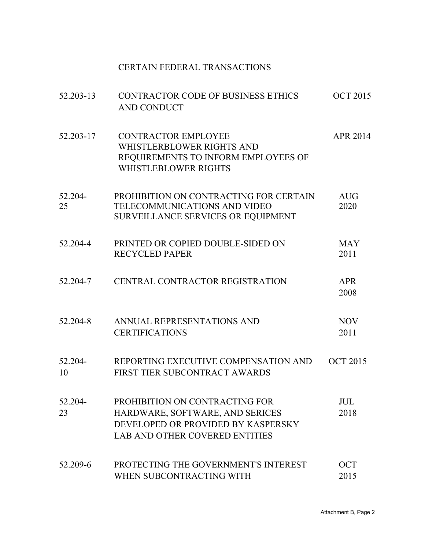# CERTAIN FEDERAL TRANSACTIONS

| 52.203-13     | <b>CONTRACTOR CODE OF BUSINESS ETHICS</b><br><b>AND CONDUCT</b>                                                                                  | <b>OCT 2015</b>    |
|---------------|--------------------------------------------------------------------------------------------------------------------------------------------------|--------------------|
| 52.203-17     | <b>CONTRACTOR EMPLOYEE</b><br>WHISTLERBLOWER RIGHTS AND<br>REQUIREMENTS TO INFORM EMPLOYEES OF<br>WHISTLEBLOWER RIGHTS                           | <b>APR 2014</b>    |
| 52.204-<br>25 | PROHIBITION ON CONTRACTING FOR CERTAIN<br>TELECOMMUNICATIONS AND VIDEO<br>SURVEILLANCE SERVICES OR EQUIPMENT                                     | <b>AUG</b><br>2020 |
| 52.204-4      | PRINTED OR COPIED DOUBLE-SIDED ON<br><b>RECYCLED PAPER</b>                                                                                       | <b>MAY</b><br>2011 |
| 52.204-7      | CENTRAL CONTRACTOR REGISTRATION                                                                                                                  | <b>APR</b><br>2008 |
| 52.204-8      | ANNUAL REPRESENTATIONS AND<br><b>CERTIFICATIONS</b>                                                                                              | <b>NOV</b><br>2011 |
| 52.204-<br>10 | REPORTING EXECUTIVE COMPENSATION AND<br>FIRST TIER SUBCONTRACT AWARDS                                                                            | <b>OCT 2015</b>    |
| 52.204-<br>23 | PROHIBITION ON CONTRACTING FOR<br>HARDWARE, SOFTWARE, AND SERICES<br>DEVELOPED OR PROVIDED BY KASPERSKY<br><b>LAB AND OTHER COVERED ENTITIES</b> | <b>JUL</b><br>2018 |
| 52.209-6      | PROTECTING THE GOVERNMENT'S INTEREST<br>WHEN SUBCONTRACTING WITH                                                                                 | <b>OCT</b><br>2015 |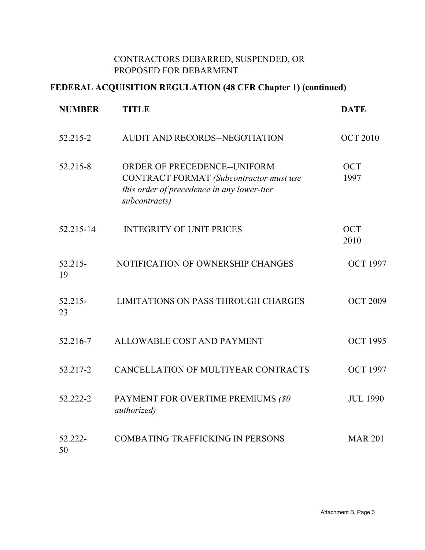# CONTRACTORS DEBARRED, SUSPENDED, OR PROPOSED FOR DEBARMENT

# **FEDERAL ACQUISITION REGULATION (48 CFR Chapter 1) (continued)**

| <b>NUMBER</b>   | <b>TITLE</b>                                                                                                                           | <b>DATE</b>        |
|-----------------|----------------------------------------------------------------------------------------------------------------------------------------|--------------------|
| 52.215-2        | AUDIT AND RECORDS--NEGOTIATION                                                                                                         | <b>OCT 2010</b>    |
| 52.215-8        | ORDER OF PRECEDENCE--UNIFORM<br>CONTRACT FORMAT (Subcontractor must use<br>this order of precedence in any lower-tier<br>subcontracts) | <b>OCT</b><br>1997 |
| 52.215-14       | <b>INTEGRITY OF UNIT PRICES</b>                                                                                                        | <b>OCT</b><br>2010 |
| 52.215-<br>19   | NOTIFICATION OF OWNERSHIP CHANGES                                                                                                      | <b>OCT 1997</b>    |
| $52.215-$<br>23 | <b>LIMITATIONS ON PASS THROUGH CHARGES</b>                                                                                             | <b>OCT 2009</b>    |
| 52.216-7        | ALLOWABLE COST AND PAYMENT                                                                                                             | <b>OCT 1995</b>    |
| 52.217-2        | CANCELLATION OF MULTIYEAR CONTRACTS                                                                                                    | <b>OCT 1997</b>    |
| 52.222-2        | PAYMENT FOR OVERTIME PREMIUMS (\$0<br><i>authorized</i> )                                                                              | <b>JUL 1990</b>    |
| 52.222-<br>50   | <b>COMBATING TRAFFICKING IN PERSONS</b>                                                                                                | <b>MAR 201</b>     |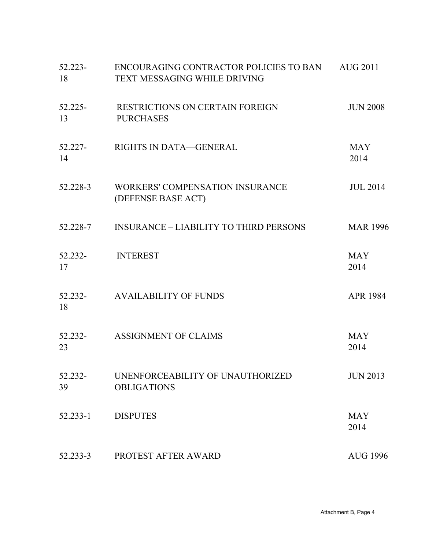| 52.223-<br>18 | ENCOURAGING CONTRACTOR POLICIES TO BAN<br><b>TEXT MESSAGING WHILE DRIVING</b> | <b>AUG 2011</b>    |
|---------------|-------------------------------------------------------------------------------|--------------------|
| 52.225-<br>13 | <b>RESTRICTIONS ON CERTAIN FOREIGN</b><br><b>PURCHASES</b>                    | <b>JUN 2008</b>    |
| 52.227-<br>14 | RIGHTS IN DATA—GENERAL                                                        | <b>MAY</b><br>2014 |
| 52.228-3      | WORKERS' COMPENSATION INSURANCE<br>(DEFENSE BASE ACT)                         | <b>JUL 2014</b>    |
| 52.228-7      | <b>INSURANCE – LIABILITY TO THIRD PERSONS</b>                                 | <b>MAR 1996</b>    |
| 52.232-<br>17 | <b>INTEREST</b>                                                               | <b>MAY</b><br>2014 |
| 52.232-<br>18 | <b>AVAILABILITY OF FUNDS</b>                                                  | <b>APR 1984</b>    |
| 52.232-<br>23 | <b>ASSIGNMENT OF CLAIMS</b>                                                   | <b>MAY</b><br>2014 |
| 52.232-<br>39 | UNENFORCEABILITY OF UNAUTHORIZED<br><b>OBLIGATIONS</b>                        | <b>JUN 2013</b>    |
| 52.233-1      | <b>DISPUTES</b>                                                               | <b>MAY</b><br>2014 |
| 52.233-3      | PROTEST AFTER AWARD                                                           | <b>AUG 1996</b>    |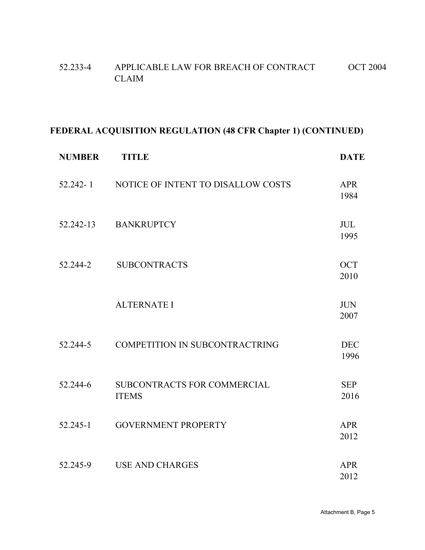| 52.233-4 | APPLICABLE LAW FOR BREACH OF CONTRACT | <b>OCT 2004</b> |
|----------|---------------------------------------|-----------------|
|          | <b>CLAIM</b>                          |                 |

# **FEDERAL ACQUISITION REGULATION (48 CFR Chapter 1) (CONTINUED)**

| <b>NUMBER</b> | <b>TITLE</b>                                | <b>DATE</b>        |
|---------------|---------------------------------------------|--------------------|
| $52.242 - 1$  | NOTICE OF INTENT TO DISALLOW COSTS          | <b>APR</b><br>1984 |
| 52.242-13     | <b>BANKRUPTCY</b>                           | <b>JUL</b><br>1995 |
| 52.244-2      | <b>SUBCONTRACTS</b>                         | <b>OCT</b><br>2010 |
|               | <b>ALTERNATE I</b>                          | <b>JUN</b><br>2007 |
| 52.244-5      | <b>COMPETITION IN SUBCONTRACTRING</b>       | <b>DEC</b><br>1996 |
| 52.244-6      | SUBCONTRACTS FOR COMMERCIAL<br><b>ITEMS</b> | <b>SEP</b><br>2016 |
| $52.245 - 1$  | <b>GOVERNMENT PROPERTY</b>                  | <b>APR</b><br>2012 |
| 52.245-9      | <b>USE AND CHARGES</b>                      | <b>APR</b><br>2012 |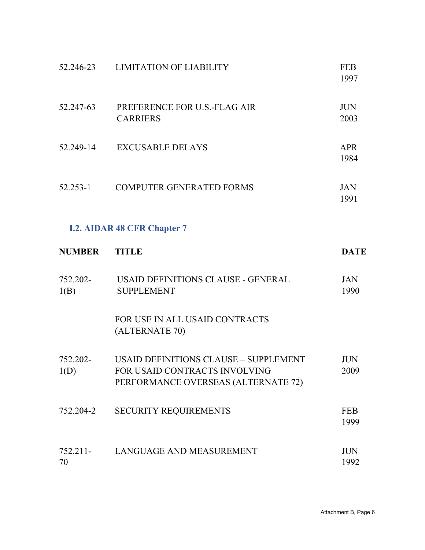| 52.246-23        | <b>LIMITATION OF LIABILITY</b>                                                                                       | <b>FEB</b><br>1997 |
|------------------|----------------------------------------------------------------------------------------------------------------------|--------------------|
| 52.247-63        | PREFERENCE FOR U.S.-FLAG AIR<br><b>CARRIERS</b>                                                                      | <b>JUN</b><br>2003 |
| 52.249-14        | <b>EXCUSABLE DELAYS</b>                                                                                              | <b>APR</b><br>1984 |
| 52.253-1         | <b>COMPUTER GENERATED FORMS</b>                                                                                      | <b>JAN</b><br>1991 |
|                  | <b>I.2. AIDAR 48 CFR Chapter 7</b>                                                                                   |                    |
| <b>NUMBER</b>    | <b>TITLE</b>                                                                                                         | <b>DATE</b>        |
| 752.202-<br>1(B) | USAID DEFINITIONS CLAUSE - GENERAL<br><b>SUPPLEMENT</b>                                                              | <b>JAN</b><br>1990 |
|                  | FOR USE IN ALL USAID CONTRACTS<br>(ALTERNATE 70)                                                                     |                    |
| 752.202-<br>1(D) | <b>USAID DEFINITIONS CLAUSE - SUPPLEMENT</b><br>FOR USAID CONTRACTS INVOLVING<br>PERFORMANCE OVERSEAS (ALTERNATE 72) | <b>JUN</b><br>2009 |
| 752.204-2        | <b>SECURITY REQUIREMENTS</b>                                                                                         | <b>FEB</b><br>1999 |
| 752.211-<br>70   | LANGUAGE AND MEASUREMENT                                                                                             | <b>JUN</b><br>1992 |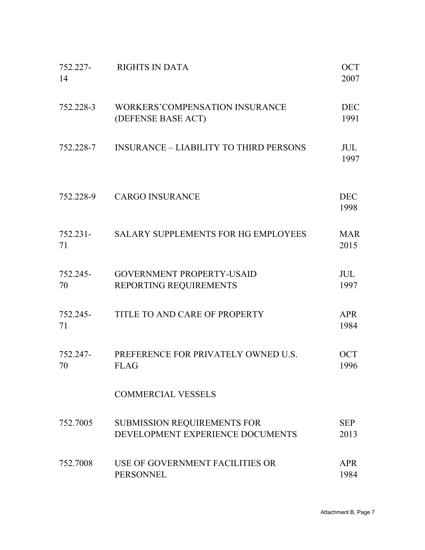| 752.227-<br>14 | <b>RIGHTS IN DATA</b>                                           | <b>OCT</b><br>2007 |
|----------------|-----------------------------------------------------------------|--------------------|
| 752.228-3      | <b>WORKERS'COMPENSATION INSURANCE</b><br>(DEFENSE BASE ACT)     | <b>DEC</b><br>1991 |
| 752.228-7      | <b>INSURANCE – LIABILITY TO THIRD PERSONS</b>                   | <b>JUL</b><br>1997 |
| 752.228-9      | <b>CARGO INSURANCE</b>                                          | <b>DEC</b><br>1998 |
| 752.231-<br>71 | <b>SALARY SUPPLEMENTS FOR HG EMPLOYEES</b>                      | <b>MAR</b><br>2015 |
| 752.245-<br>70 | <b>GOVERNMENT PROPERTY-USAID</b><br>REPORTING REQUIREMENTS      | <b>JUL</b><br>1997 |
| 752.245-<br>71 | TITLE TO AND CARE OF PROPERTY                                   | <b>APR</b><br>1984 |
| 752.247-<br>70 | PREFERENCE FOR PRIVATELY OWNED U.S.<br><b>FLAG</b>              | <b>OCT</b><br>1996 |
|                | <b>COMMERCIAL VESSELS</b>                                       |                    |
| 752.7005       | SUBMISSION REQUIREMENTS FOR<br>DEVELOPMENT EXPERIENCE DOCUMENTS | <b>SEP</b><br>2013 |
| 752.7008       | USE OF GOVERNMENT FACILITIES OR<br><b>PERSONNEL</b>             | <b>APR</b><br>1984 |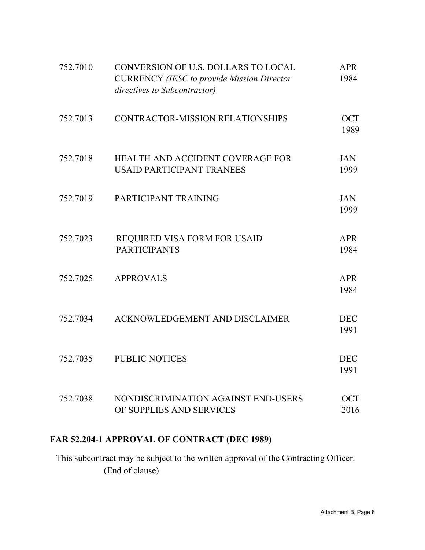| 752.7010 | CONVERSION OF U.S. DOLLARS TO LOCAL<br><b>CURRENCY</b> (IESC to provide Mission Director<br>directives to Subcontractor) | <b>APR</b><br>1984 |
|----------|--------------------------------------------------------------------------------------------------------------------------|--------------------|
| 752.7013 | CONTRACTOR-MISSION RELATIONSHIPS                                                                                         | <b>OCT</b><br>1989 |
| 752.7018 | HEALTH AND ACCIDENT COVERAGE FOR<br><b>USAID PARTICIPANT TRANEES</b>                                                     | <b>JAN</b><br>1999 |
| 752.7019 | PARTICIPANT TRAINING                                                                                                     | <b>JAN</b><br>1999 |
| 752.7023 | REQUIRED VISA FORM FOR USAID<br><b>PARTICIPANTS</b>                                                                      | <b>APR</b><br>1984 |
| 752.7025 | <b>APPROVALS</b>                                                                                                         | <b>APR</b><br>1984 |
| 752.7034 | ACKNOWLEDGEMENT AND DISCLAIMER                                                                                           | <b>DEC</b><br>1991 |
| 752.7035 | <b>PUBLIC NOTICES</b>                                                                                                    | <b>DEC</b><br>1991 |
| 752.7038 | NONDISCRIMINATION AGAINST END-USERS<br>OF SUPPLIES AND SERVICES                                                          | <b>OCT</b><br>2016 |

# **FAR 52.204-1 APPROVAL OF CONTRACT (DEC 1989)**

This subcontract may be subject to the written approval of the Contracting Officer. (End of clause)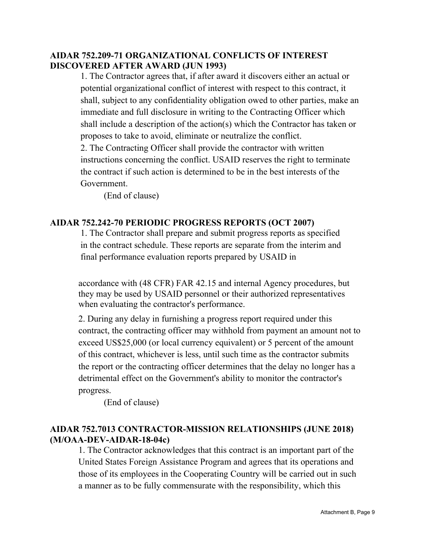# **AIDAR 752.209-71 ORGANIZATIONAL CONFLICTS OF INTEREST DISCOVERED AFTER AWARD (JUN 1993)**

1. The Contractor agrees that, if after award it discovers either an actual or potential organizational conflict of interest with respect to this contract, it shall, subject to any confidentiality obligation owed to other parties, make an immediate and full disclosure in writing to the Contracting Officer which shall include a description of the action(s) which the Contractor has taken or proposes to take to avoid, eliminate or neutralize the conflict.

2. The Contracting Officer shall provide the contractor with written instructions concerning the conflict. USAID reserves the right to terminate the contract if such action is determined to be in the best interests of the Government.

(End of clause)

# **AIDAR 752.242-70 PERIODIC PROGRESS REPORTS (OCT 2007)**

1. The Contractor shall prepare and submit progress reports as specified in the contract schedule. These reports are separate from the interim and final performance evaluation reports prepared by USAID in

accordance with (48 CFR) FAR 42.15 and internal Agency procedures, but they may be used by USAID personnel or their authorized representatives when evaluating the contractor's performance.

2. During any delay in furnishing a progress report required under this contract, the contracting officer may withhold from payment an amount not to exceed US\$25,000 (or local currency equivalent) or 5 percent of the amount of this contract, whichever is less, until such time as the contractor submits the report or the contracting officer determines that the delay no longer has a detrimental effect on the Government's ability to monitor the contractor's progress.

(End of clause)

# **AIDAR 752.7013 CONTRACTOR-MISSION RELATIONSHIPS (JUNE 2018) (M/OAA-DEV-AIDAR-18-04c)**

1. The Contractor acknowledges that this contract is an important part of the United States Foreign Assistance Program and agrees that its operations and those of its employees in the Cooperating Country will be carried out in such a manner as to be fully commensurate with the responsibility, which this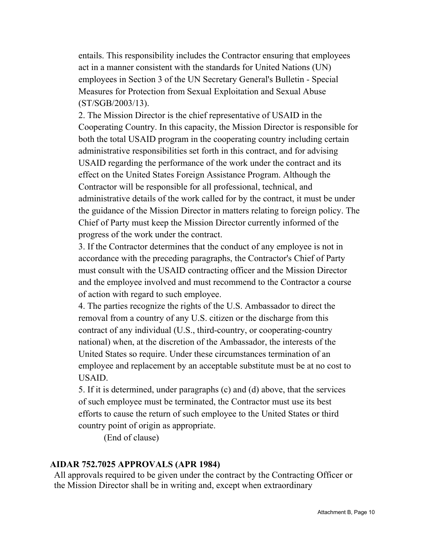entails. This responsibility includes the Contractor ensuring that employees act in a manner consistent with the standards for United Nations (UN) employees in Section 3 of the UN Secretary General's Bulletin - Special Measures for Protection from Sexual Exploitation and Sexual Abuse (ST/SGB/2003/13).

2. The Mission Director is the chief representative of USAID in the Cooperating Country. In this capacity, the Mission Director is responsible for both the total USAID program in the cooperating country including certain administrative responsibilities set forth in this contract, and for advising USAID regarding the performance of the work under the contract and its effect on the United States Foreign Assistance Program. Although the Contractor will be responsible for all professional, technical, and administrative details of the work called for by the contract, it must be under the guidance of the Mission Director in matters relating to foreign policy. The Chief of Party must keep the Mission Director currently informed of the progress of the work under the contract.

3. If the Contractor determines that the conduct of any employee is not in accordance with the preceding paragraphs, the Contractor's Chief of Party must consult with the USAID contracting officer and the Mission Director and the employee involved and must recommend to the Contractor a course of action with regard to such employee.

4. The parties recognize the rights of the U.S. Ambassador to direct the removal from a country of any U.S. citizen or the discharge from this contract of any individual (U.S., third-country, or cooperating-country national) when, at the discretion of the Ambassador, the interests of the United States so require. Under these circumstances termination of an employee and replacement by an acceptable substitute must be at no cost to USAID.

5. If it is determined, under paragraphs (c) and (d) above, that the services of such employee must be terminated, the Contractor must use its best efforts to cause the return of such employee to the United States or third country point of origin as appropriate.

(End of clause)

# **AIDAR 752.7025 APPROVALS (APR 1984)**

All approvals required to be given under the contract by the Contracting Officer or the Mission Director shall be in writing and, except when extraordinary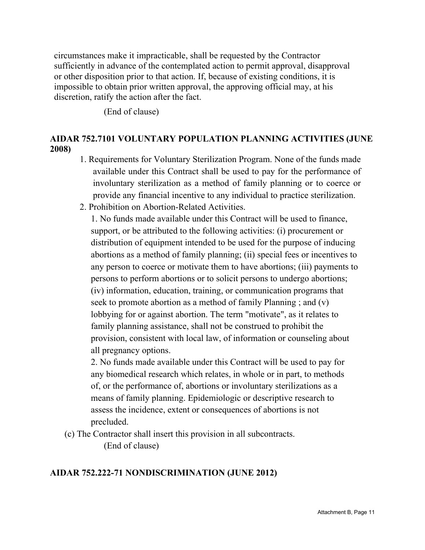circumstances make it impracticable, shall be requested by the Contractor sufficiently in advance of the contemplated action to permit approval, disapproval or other disposition prior to that action. If, because of existing conditions, it is impossible to obtain prior written approval, the approving official may, at his discretion, ratify the action after the fact.

(End of clause)

# **AIDAR 752.7101 VOLUNTARY POPULATION PLANNING ACTIVITIES (JUNE 2008)**

- 1. Requirements for Voluntary Sterilization Program. None of the funds made available under this Contract shall be used to pay for the performance of involuntary sterilization as a method of family planning or to coerce or provide any financial incentive to any individual to practice sterilization.
- 2. Prohibition on Abortion-Related Activities.

1. No funds made available under this Contract will be used to finance, support, or be attributed to the following activities: (i) procurement or distribution of equipment intended to be used for the purpose of inducing abortions as a method of family planning; (ii) special fees or incentives to any person to coerce or motivate them to have abortions; (iii) payments to persons to perform abortions or to solicit persons to undergo abortions; (iv) information, education, training, or communication programs that seek to promote abortion as a method of family Planning ; and (v) lobbying for or against abortion. The term "motivate", as it relates to family planning assistance, shall not be construed to prohibit the provision, consistent with local law, of information or counseling about all pregnancy options.

2. No funds made available under this Contract will be used to pay for any biomedical research which relates, in whole or in part, to methods of, or the performance of, abortions or involuntary sterilizations as a means of family planning. Epidemiologic or descriptive research to assess the incidence, extent or consequences of abortions is not precluded.

(c) The Contractor shall insert this provision in all subcontracts.

(End of clause)

# **AIDAR 752.222-71 NONDISCRIMINATION (JUNE 2012)**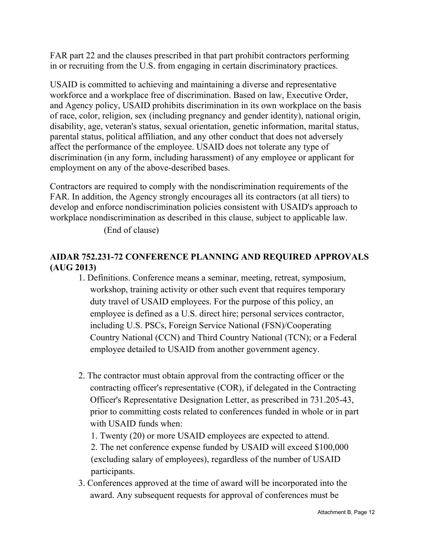FAR part 22 and the clauses prescribed in that part prohibit contractors performing in or recruiting from the U.S. from engaging in certain discriminatory practices.

USAID is committed to achieving and maintaining a diverse and representative workforce and a workplace free of discrimination. Based on law, Executive Order, and Agency policy, USAID prohibits discrimination in its own workplace on the basis of race, color, religion, sex (including pregnancy and gender identity), national origin, disability, age, veteran's status, sexual orientation, genetic information, marital status, parental status, political affiliation, and any other conduct that does not adversely affect the performance of the employee. USAID does not tolerate any type of discrimination (in any form, including harassment) of any employee or applicant for employment on any of the above-described bases.

Contractors are required to comply with the nondiscrimination requirements of the FAR. In addition, the Agency strongly encourages all its contractors (at all tiers) to develop and enforce nondiscrimination policies consistent with USAID's approach to workplace nondiscrimination as described in this clause, subject to applicable law.

(End of clause)

# **AIDAR 752.231-72 CONFERENCE PLANNING AND REQUIRED APPROVALS (AUG 2013)**

- 1. Definitions. Conference means a seminar, meeting, retreat, symposium, workshop, training activity or other such event that requires temporary duty travel of USAID employees. For the purpose of this policy, an employee is defined as a U.S. direct hire; personal services contractor, including U.S. PSCs, Foreign Service National (FSN)/Cooperating Country National (CCN) and Third Country National (TCN); or a Federal employee detailed to USAID from another government agency.
- 2. The contractor must obtain approval from the contracting officer or the contracting officer's representative (COR), if delegated in the Contracting Officer's Representative Designation Letter, as prescribed in 731.205-43, prior to committing costs related to conferences funded in whole or in part with USAID funds when:
	- 1. Twenty (20) or more USAID employees are expected to attend.
	- 2. The net conference expense funded by USAID will exceed \$100,000 (excluding salary of employees), regardless of the number of USAID participants.
- 3. Conferences approved at the time of award will be incorporated into the award. Any subsequent requests for approval of conferences must be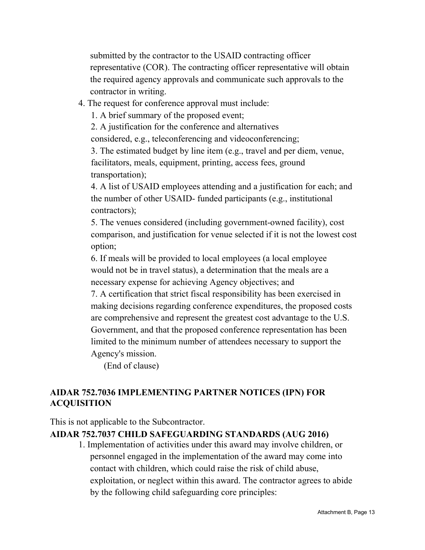submitted by the contractor to the USAID contracting officer representative (COR). The contracting officer representative will obtain the required agency approvals and communicate such approvals to the contractor in writing.

# 4. The request for conference approval must include:

1. A brief summary of the proposed event;

2. A justification for the conference and alternatives

considered, e.g., teleconferencing and videoconferencing;

3. The estimated budget by line item (e.g., travel and per diem, venue, facilitators, meals, equipment, printing, access fees, ground transportation);

4. A list of USAID employees attending and a justification for each; and the number of other USAID- funded participants (e.g., institutional contractors);

5. The venues considered (including government-owned facility), cost comparison, and justification for venue selected if it is not the lowest cost option;

6. If meals will be provided to local employees (a local employee would not be in travel status), a determination that the meals are a necessary expense for achieving Agency objectives; and

7. A certification that strict fiscal responsibility has been exercised in making decisions regarding conference expenditures, the proposed costs are comprehensive and represent the greatest cost advantage to the U.S. Government, and that the proposed conference representation has been limited to the minimum number of attendees necessary to support the Agency's mission.

(End of clause)

# **AIDAR 752.7036 IMPLEMENTING PARTNER NOTICES (IPN) FOR ACQUISITION**

This is not applicable to the Subcontractor.

# **AIDAR 752.7037 CHILD SAFEGUARDING STANDARDS (AUG 2016)**

1. Implementation of activities under this award may involve children, or personnel engaged in the implementation of the award may come into contact with children, which could raise the risk of child abuse, exploitation, or neglect within this award. The contractor agrees to abide by the following child safeguarding core principles: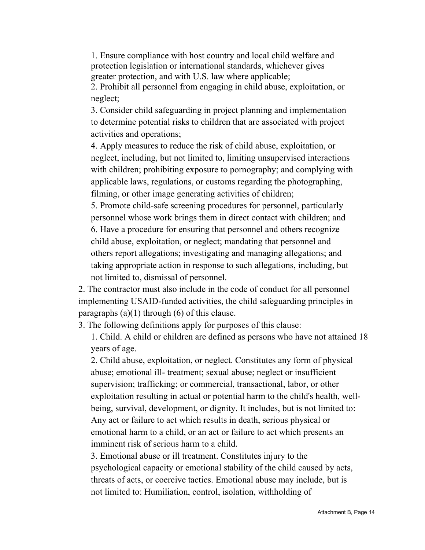1. Ensure compliance with host country and local child welfare and protection legislation or international standards, whichever gives greater protection, and with U.S. law where applicable;

2. Prohibit all personnel from engaging in child abuse, exploitation, or neglect;

3. Consider child safeguarding in project planning and implementation to determine potential risks to children that are associated with project activities and operations;

4. Apply measures to reduce the risk of child abuse, exploitation, or neglect, including, but not limited to, limiting unsupervised interactions with children; prohibiting exposure to pornography; and complying with applicable laws, regulations, or customs regarding the photographing, filming, or other image generating activities of children;

5. Promote child-safe screening procedures for personnel, particularly personnel whose work brings them in direct contact with children; and 6. Have a procedure for ensuring that personnel and others recognize child abuse, exploitation, or neglect; mandating that personnel and others report allegations; investigating and managing allegations; and taking appropriate action in response to such allegations, including, but not limited to, dismissal of personnel.

2. The contractor must also include in the code of conduct for all personnel implementing USAID-funded activities, the child safeguarding principles in paragraphs  $(a)(1)$  through  $(6)$  of this clause.

3. The following definitions apply for purposes of this clause:

1. Child. A child or children are defined as persons who have not attained 18 years of age.

2. Child abuse, exploitation, or neglect. Constitutes any form of physical abuse; emotional ill- treatment; sexual abuse; neglect or insufficient supervision; trafficking; or commercial, transactional, labor, or other exploitation resulting in actual or potential harm to the child's health, wellbeing, survival, development, or dignity. It includes, but is not limited to: Any act or failure to act which results in death, serious physical or emotional harm to a child, or an act or failure to act which presents an imminent risk of serious harm to a child.

3. Emotional abuse or ill treatment. Constitutes injury to the psychological capacity or emotional stability of the child caused by acts, threats of acts, or coercive tactics. Emotional abuse may include, but is not limited to: Humiliation, control, isolation, withholding of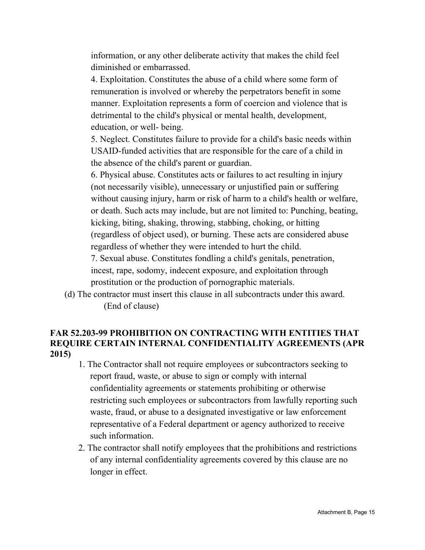information, or any other deliberate activity that makes the child feel diminished or embarrassed.

4. Exploitation. Constitutes the abuse of a child where some form of remuneration is involved or whereby the perpetrators benefit in some manner. Exploitation represents a form of coercion and violence that is detrimental to the child's physical or mental health, development, education, or well- being.

5. Neglect. Constitutes failure to provide for a child's basic needs within USAID-funded activities that are responsible for the care of a child in the absence of the child's parent or guardian.

6. Physical abuse. Constitutes acts or failures to act resulting in injury (not necessarily visible), unnecessary or unjustified pain or suffering without causing injury, harm or risk of harm to a child's health or welfare, or death. Such acts may include, but are not limited to: Punching, beating, kicking, biting, shaking, throwing, stabbing, choking, or hitting (regardless of object used), or burning. These acts are considered abuse regardless of whether they were intended to hurt the child.

7. Sexual abuse. Constitutes fondling a child's genitals, penetration, incest, rape, sodomy, indecent exposure, and exploitation through prostitution or the production of pornographic materials.

(d) The contractor must insert this clause in all subcontracts under this award. (End of clause)

# **FAR 52.203-99 PROHIBITION ON CONTRACTING WITH ENTITIES THAT REQUIRE CERTAIN INTERNAL CONFIDENTIALITY AGREEMENTS (APR 2015)**

- 1. The Contractor shall not require employees or subcontractors seeking to report fraud, waste, or abuse to sign or comply with internal confidentiality agreements or statements prohibiting or otherwise restricting such employees or subcontractors from lawfully reporting such waste, fraud, or abuse to a designated investigative or law enforcement representative of a Federal department or agency authorized to receive such information.
- 2. The contractor shall notify employees that the prohibitions and restrictions of any internal confidentiality agreements covered by this clause are no longer in effect.